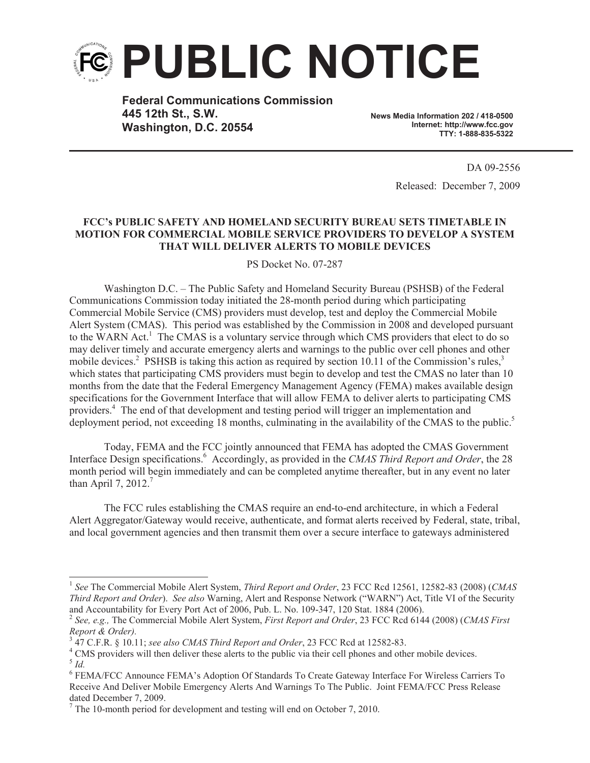

**Federal Communications Commission 445 12th St., S.W. Washington, D.C. 20554**

**News Media Information 202 / 418-0500 Internet: http://www.fcc.gov TTY: 1-888-835-5322**

> DA 09-2556 Released: December 7, 2009

## **FCC's PUBLIC SAFETY AND HOMELAND SECURITY BUREAU SETS TIMETABLE IN MOTION FOR COMMERCIAL MOBILE SERVICE PROVIDERS TO DEVELOP A SYSTEM THAT WILL DELIVER ALERTS TO MOBILE DEVICES**

PS Docket No. 07-287

Washington D.C. – The Public Safety and Homeland Security Bureau (PSHSB) of the Federal Communications Commission today initiated the 28-month period during which participating Commercial Mobile Service (CMS) providers must develop, test and deploy the Commercial Mobile Alert System (CMAS). This period was established by the Commission in 2008 and developed pursuant to the WARN Act.<sup>1</sup> The CMAS is a voluntary service through which CMS providers that elect to do so may deliver timely and accurate emergency alerts and warnings to the public over cell phones and other mobile devices.<sup>2</sup> PSHSB is taking this action as required by section 10.11 of the Commission's rules,<sup>3</sup> which states that participating CMS providers must begin to develop and test the CMAS no later than 10 months from the date that the Federal Emergency Management Agency (FEMA) makes available design specifications for the Government Interface that will allow FEMA to deliver alerts to participating CMS providers.<sup>4</sup> The end of that development and testing period will trigger an implementation and deployment period, not exceeding 18 months, culminating in the availability of the CMAS to the public.<sup>5</sup>

Today, FEMA and the FCC jointly announced that FEMA has adopted the CMAS Government Interface Design specifications.<sup>6</sup> Accordingly, as provided in the *CMAS Third Report and Order*, the 28 month period will begin immediately and can be completed anytime thereafter, but in any event no later than April 7, 2012.<sup>7</sup>

The FCC rules establishing the CMAS require an end-to-end architecture, in which a Federal Alert Aggregator/Gateway would receive, authenticate, and format alerts received by Federal, state, tribal, and local government agencies and then transmit them over a secure interface to gateways administered

<sup>&</sup>lt;sup>1</sup> See The Commercial Mobile Alert System, *Third Report and Order*, 23 FCC Rcd 12561, 12582-83 (2008) (*CMAS Third Report and Order*). *See also* Warning, Alert and Response Network ("WARN") Act, Title VI of the Security and Accountability for Every Port Act of 2006, Pub. L. No. 109-347, 120 Stat. 1884 (2006).

<sup>2</sup> *See, e.g.,* The Commercial Mobile Alert System, *First Report and Order*, 23 FCC Rcd 6144 (2008) (*CMAS First Report & Order).*

<sup>3</sup> 47 C.F.R. § 10.11; *see also CMAS Third Report and Order*, 23 FCC Rcd at 12582-83.

<sup>&</sup>lt;sup>4</sup> CMS providers will then deliver these alerts to the public via their cell phones and other mobile devices. 5 *Id.*

<sup>6</sup> FEMA/FCC Announce FEMA's Adoption Of Standards To Create Gateway Interface For Wireless Carriers To Receive And Deliver Mobile Emergency Alerts And Warnings To The Public. Joint FEMA/FCC Press Release dated December 7, 2009.

 $<sup>7</sup>$  The 10-month period for development and testing will end on October 7, 2010.</sup>